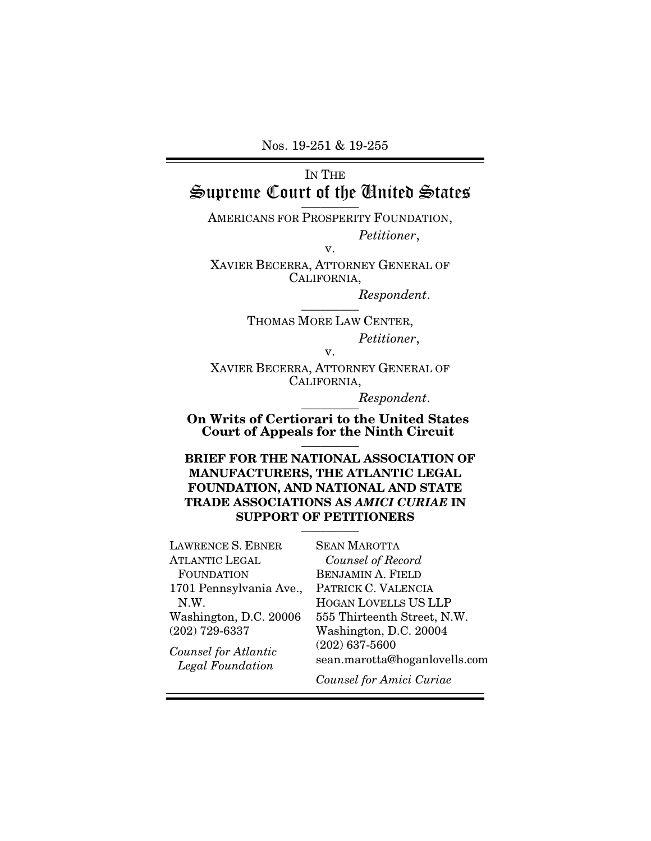Nos. 19-251 & 19-255

# IN THE Supreme Court of the Anited States

AMERICANS FOR PROSPERITY FOUNDATION, *Petitioner*,

v.

XAVIER BECERRA, ATTORNEY GENERAL OF CALIFORNIA,

> *Respondent*.  $\overline{\phantom{a}}$  . The set of  $\overline{\phantom{a}}$

THOMAS MORE LAW CENTER, *Petitioner*,

v.

XAVIER BECERRA, ATTORNEY GENERAL OF CALIFORNIA,

> *Respondent*.  $\frac{1}{\sqrt{1-\frac{1}{2}}}\frac{1}{\sqrt{1-\frac{1}{2}}\sqrt{1-\frac{1}{2}}\frac{1}{\sqrt{1-\frac{1}{2}}\sqrt{1-\frac{1}{2}}}}$

On Writs of Certiorari to the United States Court of Appeals for the Ninth Circuit  $\frac{1}{\sqrt{2}}$ 

BRIEF FOR THE NATIONAL ASSOCIATION OF MANUFACTURERS, THE ATLANTIC LEGAL FOUNDATION, AND NATIONAL AND STATE TRADE ASSOCIATIONS AS *AMICI CURIAE* IN SUPPORT OF PETITIONERS  $\overline{\phantom{a}}$  . The set of  $\overline{\phantom{a}}$ 

LAWRENCE S. EBNER ATLANTIC LEGAL FOUNDATION 1701 Pennsylvania Ave., N.W. Washington, D.C. 20006 (202) 729-6337 *Counsel for Atlantic* 

*Legal Foundation*

SEAN MAROTTA *Counsel of Record*  BENJAMIN A. FIELD PATRICK C. VALENCIA HOGAN LOVELLS US LLP 555 Thirteenth Street, N.W. Washington, D.C. 20004 (202) 637-5600 sean.marotta@hoganlovells.com

*Counsel for Amici Curiae*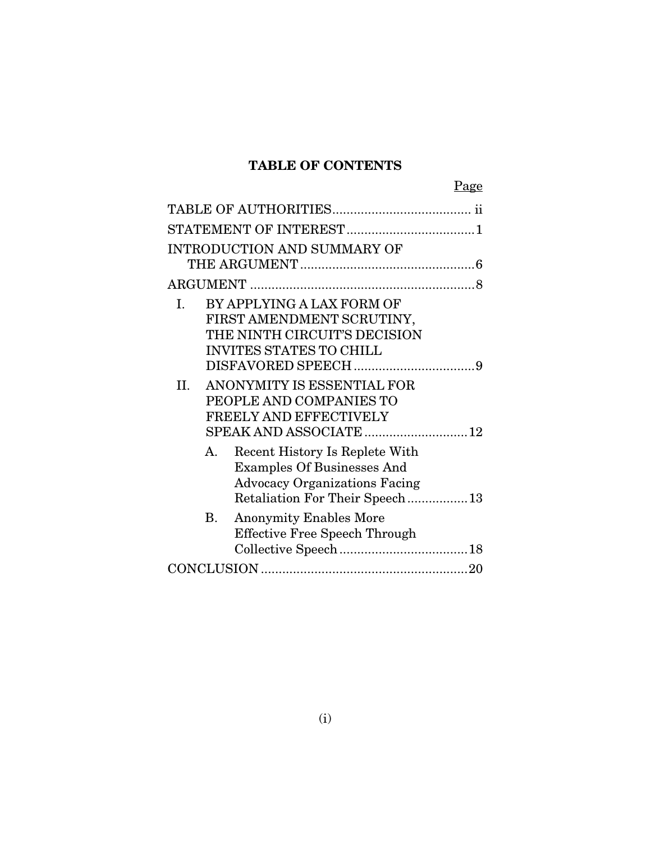## TABLE OF CONTENTS

| <b>INTRODUCTION AND SUMMARY OF</b>                                                                                                                  |
|-----------------------------------------------------------------------------------------------------------------------------------------------------|
|                                                                                                                                                     |
|                                                                                                                                                     |
| BY APPLYING A LAX FORM OF<br>I.<br>FIRST AMENDMENT SCRUTINY,<br>THE NINTH CIRCUIT'S DECISION<br><b>INVITES STATES TO CHILL</b>                      |
|                                                                                                                                                     |
| ANONYMITY IS ESSENTIAL FOR<br>II.<br>PEOPLE AND COMPANIES TO<br>FREELY AND EFFECTIVELY                                                              |
| A.<br>Recent History Is Replete With<br><b>Examples Of Businesses And</b><br><b>Advocacy Organizations Facing</b><br>Retaliation For Their Speech13 |
| В.<br><b>Anonymity Enables More</b><br><b>Effective Free Speech Through</b>                                                                         |
|                                                                                                                                                     |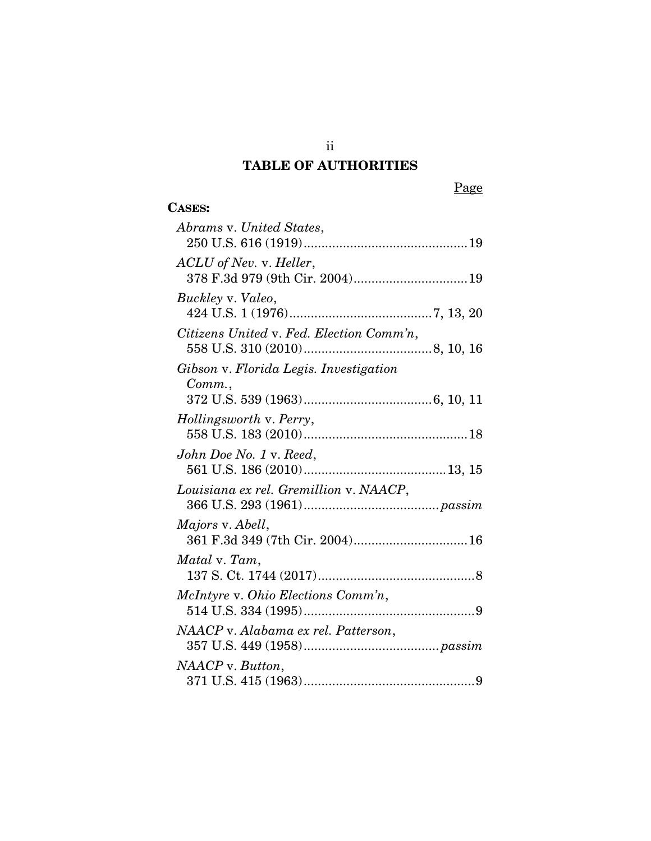## TABLE OF AUTHORITIES

## CASES:

| Abrams v. United States,                                   |
|------------------------------------------------------------|
| ACLU of Nev. v. Heller,<br>378 F.3d 979 (9th Cir. 2004) 19 |
| Buckley v. Valeo,                                          |
| Citizens United v. Fed. Election Comm'n,                   |
| Gibson v. Florida Legis. Investigation                     |
| Comm.                                                      |
| Hollingsworth v. Perry,                                    |
| John Doe No. 1 v. Reed,                                    |
| Louisiana ex rel. Gremillion v. NAACP,                     |
| <i>Majors v. Abell,</i><br>361 F.3d 349 (7th Cir. 2004) 16 |
| Matal v. Tam,                                              |
| McIntyre v. Ohio Elections Comm'n,                         |
| NAACP v. Alabama ex rel. Patterson,                        |
| NAACP v. Button,                                           |

ii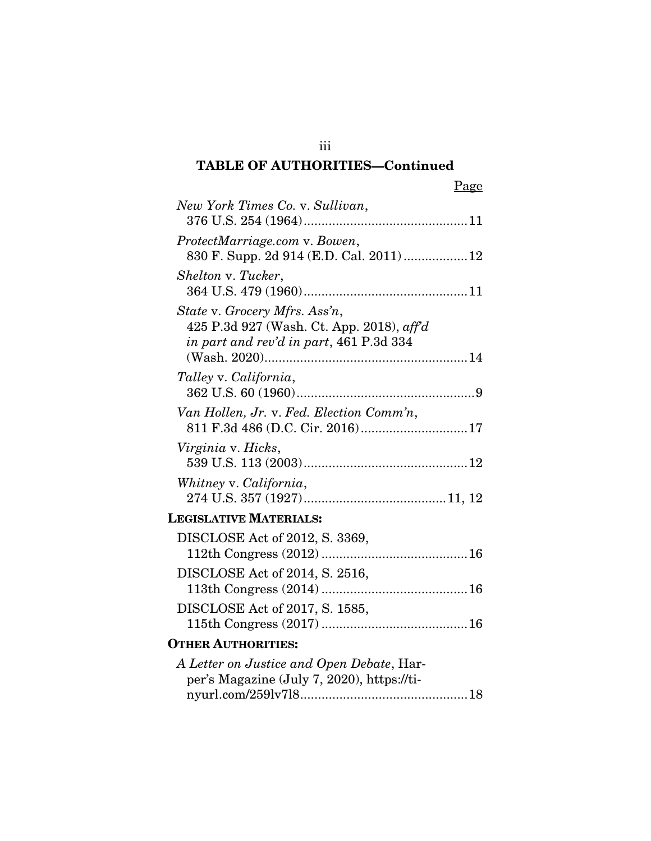# TABLE OF AUTHORITIES—Continued

| New York Times Co. v. Sullivan,                                                         |
|-----------------------------------------------------------------------------------------|
|                                                                                         |
| ProtectMarriage.com v. Bowen,                                                           |
| 830 F. Supp. 2d 914 (E.D. Cal. 2011)12                                                  |
| Shelton v. Tucker,                                                                      |
|                                                                                         |
| State v. Grocery Mfrs. Ass'n,                                                           |
| 425 P.3d 927 (Wash. Ct. App. 2018), aff'd<br>in part and rev'd in part, 461 P.3d 334    |
|                                                                                         |
| Talley v. California,                                                                   |
|                                                                                         |
| Van Hollen, Jr. v. Fed. Election Comm'n,                                                |
| 811 F.3d 486 (D.C. Cir. 2016)17                                                         |
| Virginia v. Hicks,                                                                      |
|                                                                                         |
| Whitney v. California,                                                                  |
|                                                                                         |
| <b>LEGISLATIVE MATERIALS:</b>                                                           |
| DISCLOSE Act of 2012, S. 3369,                                                          |
|                                                                                         |
| DISCLOSE Act of 2014, S. 2516,                                                          |
|                                                                                         |
| DISCLOSE Act of 2017, S. 1585,                                                          |
| <b>OTHER AUTHORITIES:</b>                                                               |
|                                                                                         |
| A Letter on Justice and Open Debate, Har-<br>per's Magazine (July 7, 2020), https://ti- |
|                                                                                         |
|                                                                                         |

iii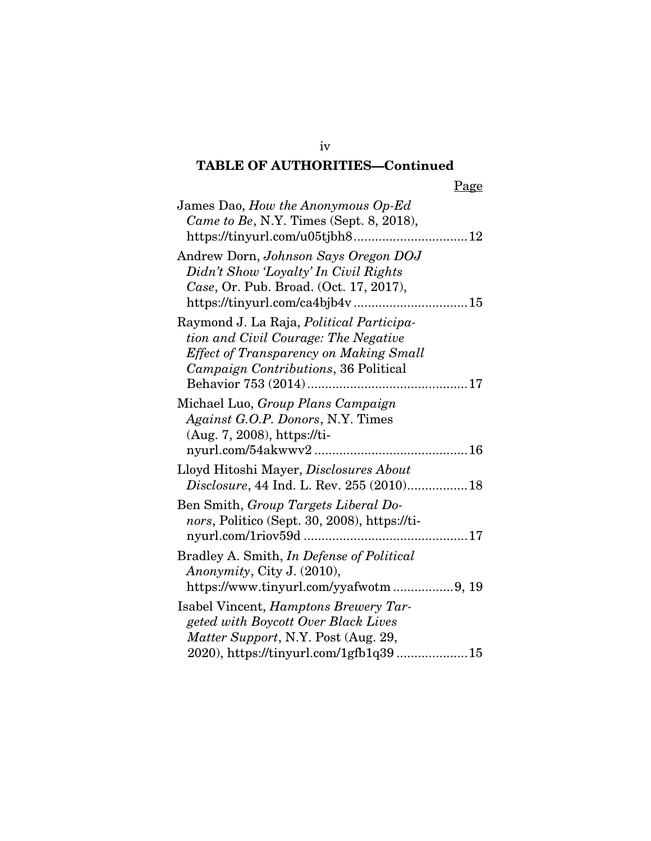## iv TABLE OF AUTHORITIES—Continued

| James Dao, How the Anonymous Op-Ed                                                 |
|------------------------------------------------------------------------------------|
| Came to Be, N.Y. Times (Sept. 8, 2018),                                            |
|                                                                                    |
| Andrew Dorn, Johnson Says Oregon DOJ                                               |
| Didn't Show 'Loyalty' In Civil Rights                                              |
| Case, Or. Pub. Broad. (Oct. 17, 2017),                                             |
|                                                                                    |
| Raymond J. La Raja, Political Participa-                                           |
| tion and Civil Courage: The Negative                                               |
| <b>Effect of Transparency on Making Small</b>                                      |
| Campaign Contributions, 36 Political                                               |
|                                                                                    |
| Michael Luo, Group Plans Campaign                                                  |
| Against G.O.P. Donors, N.Y. Times                                                  |
| $(Aug. 7, 2008)$ , https://ti-                                                     |
|                                                                                    |
|                                                                                    |
|                                                                                    |
| Lloyd Hitoshi Mayer, Disclosures About<br>Disclosure, 44 Ind. L. Rev. 255 (2010)18 |
| Ben Smith, Group Targets Liberal Do-                                               |
|                                                                                    |
| nors, Politico (Sept. 30, 2008), https://ti-<br>nyurl.com/1riov59d                 |
|                                                                                    |
| Bradley A. Smith, <i>In Defense of Political</i>                                   |
| Anonymity, City J. (2010),<br>https://www.tinyurl.com/yyafwotm9, 19                |
|                                                                                    |
| Isabel Vincent, Hamptons Brewery Tar-<br>geted with Boycott Over Black Lives       |
| Matter Support, N.Y. Post (Aug. 29,                                                |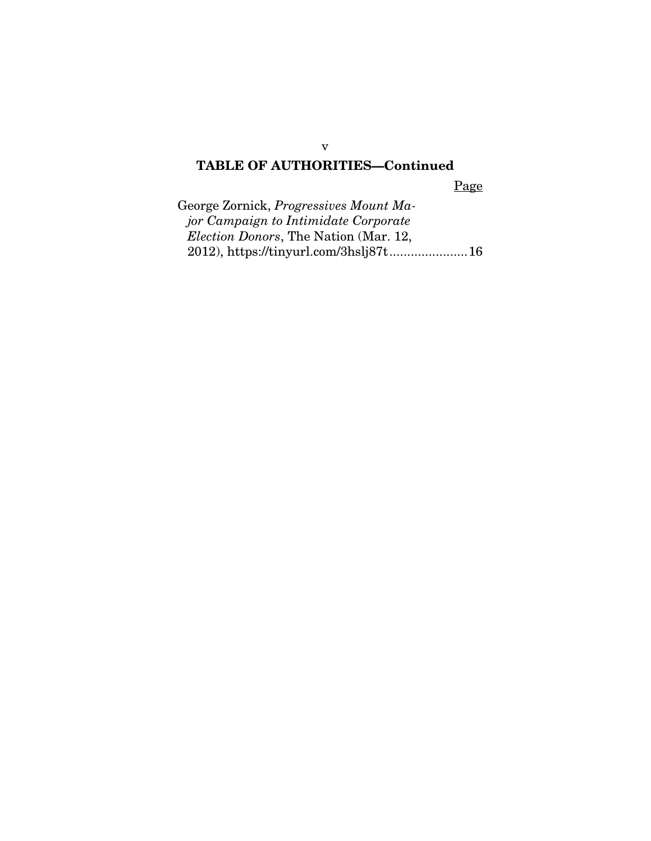## TABLE OF AUTHORITIES—Continued

Page

| George Zornick, Progressives Mount Ma-        |  |
|-----------------------------------------------|--|
| <i>jor Campaign to Intimidate Corporate</i>   |  |
| <i>Election Donors</i> , The Nation (Mar. 12, |  |
|                                               |  |

v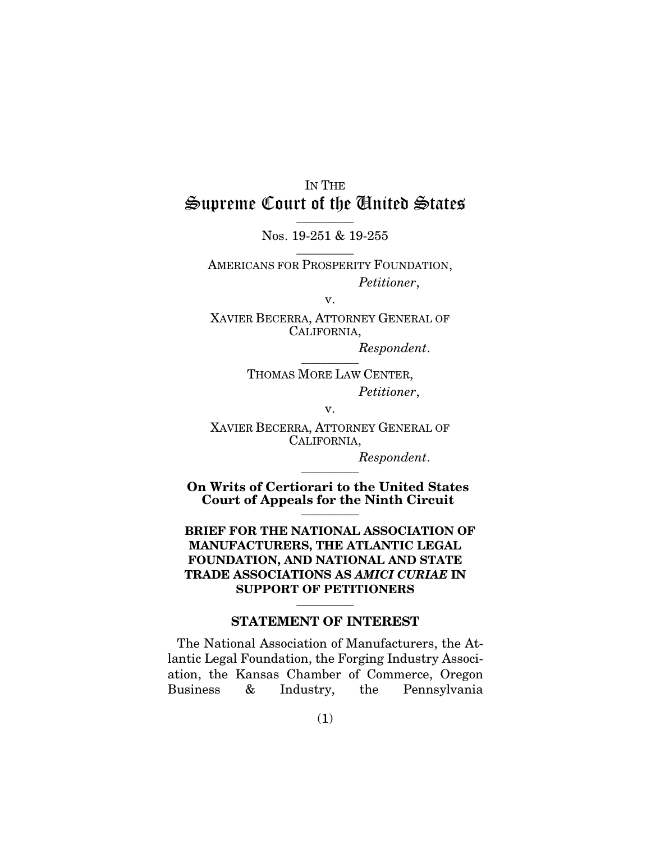## IN THE Supreme Court of the United States  $\overline{\phantom{a}}$  . The set of  $\overline{\phantom{a}}$

Nos. 19-251 & 19-255  $\overline{\phantom{a}}$  . The set of  $\overline{\phantom{a}}$ 

AMERICANS FOR PROSPERITY FOUNDATION, *Petitioner*,

v.

XAVIER BECERRA, ATTORNEY GENERAL OF CALIFORNIA,

> *Respondent*.  $\overline{\phantom{a}}$  . The set of  $\overline{\phantom{a}}$

THOMAS MORE LAW CENTER, *Petitioner*,

v.

XAVIER BECERRA, ATTORNEY GENERAL OF CALIFORNIA,

> *Respondent*.  $\overline{\phantom{a}}$  . The set of  $\overline{\phantom{a}}$

On Writs of Certiorari to the United States Court of Appeals for the Ninth Circuit  $\frac{1}{\sqrt{2}}$ 

BRIEF FOR THE NATIONAL ASSOCIATION OF MANUFACTURERS, THE ATLANTIC LEGAL FOUNDATION, AND NATIONAL AND STATE TRADE ASSOCIATIONS AS *AMICI CURIAE* IN SUPPORT OF PETITIONERS  $\overline{\phantom{a}}$  . The set of  $\overline{\phantom{a}}$ 

#### STATEMENT OF INTEREST

The National Association of Manufacturers, the Atlantic Legal Foundation, the Forging Industry Association, the Kansas Chamber of Commerce, Oregon Business & Industry, the Pennsylvania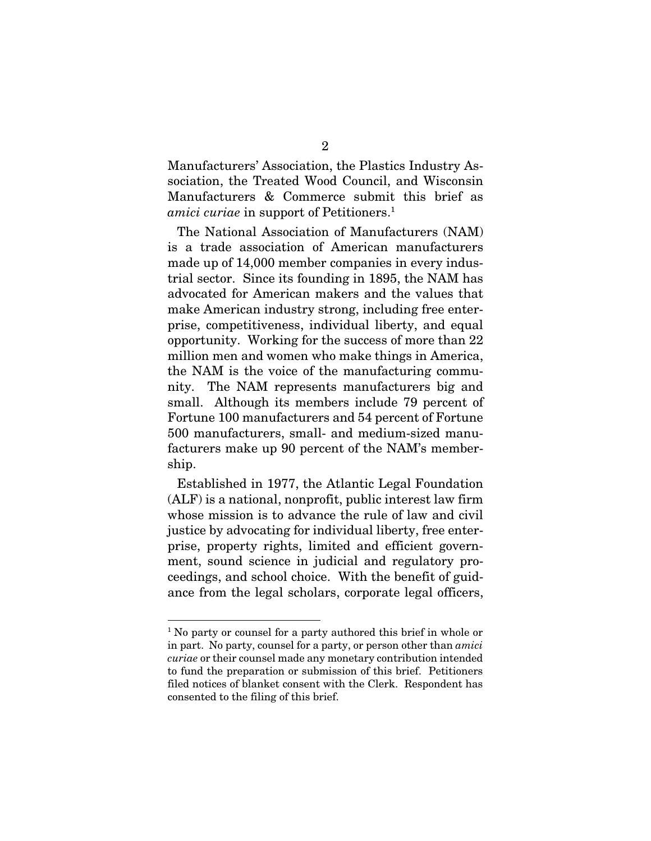Manufacturers' Association, the Plastics Industry Association, the Treated Wood Council, and Wisconsin Manufacturers & Commerce submit this brief as *amici curiae* in support of Petitioners.<sup>1</sup>

The National Association of Manufacturers (NAM) is a trade association of American manufacturers made up of 14,000 member companies in every industrial sector. Since its founding in 1895, the NAM has advocated for American makers and the values that make American industry strong, including free enterprise, competitiveness, individual liberty, and equal opportunity. Working for the success of more than 22 million men and women who make things in America, the NAM is the voice of the manufacturing community. The NAM represents manufacturers big and small. Although its members include 79 percent of Fortune 100 manufacturers and 54 percent of Fortune 500 manufacturers, small- and medium-sized manufacturers make up 90 percent of the NAM's membership.

Established in 1977, the Atlantic Legal Foundation (ALF) is a national, nonprofit, public interest law firm whose mission is to advance the rule of law and civil justice by advocating for individual liberty, free enterprise, property rights, limited and efficient government, sound science in judicial and regulatory proceedings, and school choice. With the benefit of guidance from the legal scholars, corporate legal officers,

<sup>&</sup>lt;sup>1</sup> No party or counsel for a party authored this brief in whole or in part. No party, counsel for a party, or person other than *amici curiae* or their counsel made any monetary contribution intended to fund the preparation or submission of this brief. Petitioners filed notices of blanket consent with the Clerk. Respondent has consented to the filing of this brief.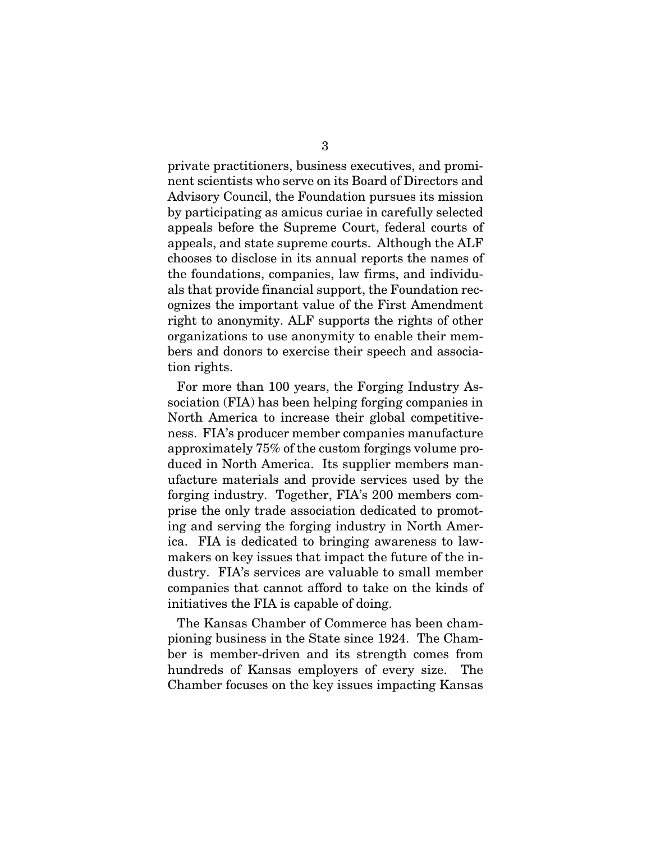private practitioners, business executives, and prominent scientists who serve on its Board of Directors and Advisory Council, the Foundation pursues its mission by participating as amicus curiae in carefully selected appeals before the Supreme Court, federal courts of appeals, and state supreme courts. Although the ALF chooses to disclose in its annual reports the names of the foundations, companies, law firms, and individuals that provide financial support, the Foundation recognizes the important value of the First Amendment right to anonymity. ALF supports the rights of other organizations to use anonymity to enable their members and donors to exercise their speech and association rights.

For more than 100 years, the Forging Industry Association (FIA) has been helping forging companies in North America to increase their global competitiveness. FIA's producer member companies manufacture approximately 75% of the custom forgings volume produced in North America. Its supplier members manufacture materials and provide services used by the forging industry. Together, FIA's 200 members comprise the only trade association dedicated to promoting and serving the forging industry in North America. FIA is dedicated to bringing awareness to lawmakers on key issues that impact the future of the industry. FIA's services are valuable to small member companies that cannot afford to take on the kinds of initiatives the FIA is capable of doing.

The Kansas Chamber of Commerce has been championing business in the State since 1924. The Chamber is member-driven and its strength comes from hundreds of Kansas employers of every size. The Chamber focuses on the key issues impacting Kansas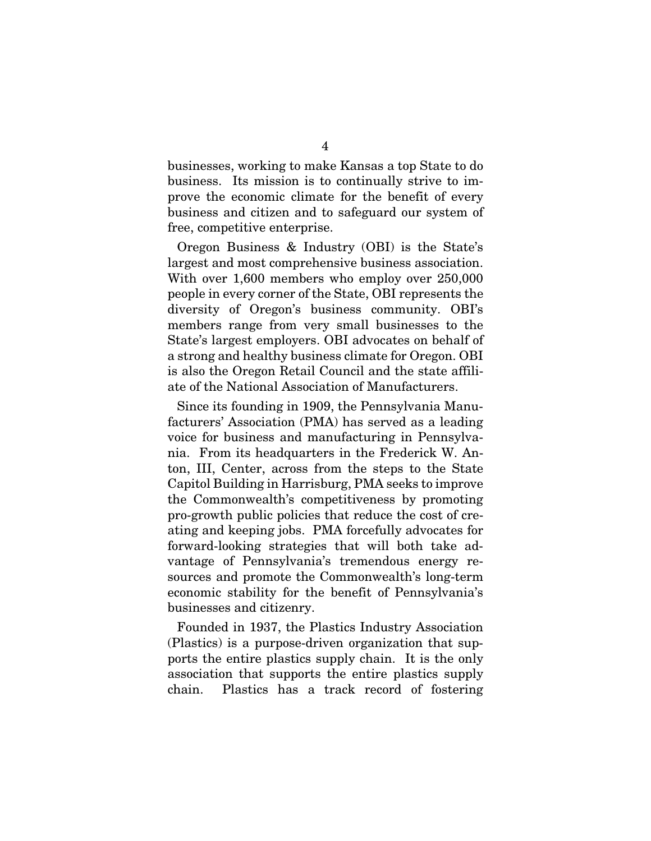businesses, working to make Kansas a top State to do business. Its mission is to continually strive to improve the economic climate for the benefit of every business and citizen and to safeguard our system of free, competitive enterprise.

Oregon Business & Industry (OBI) is the State's largest and most comprehensive business association. With over 1,600 members who employ over 250,000 people in every corner of the State, OBI represents the diversity of Oregon's business community. OBI's members range from very small businesses to the State's largest employers. OBI advocates on behalf of a strong and healthy business climate for Oregon. OBI is also the Oregon Retail Council and the state affiliate of the National Association of Manufacturers.

Since its founding in 1909, the Pennsylvania Manufacturers' Association (PMA) has served as a leading voice for business and manufacturing in Pennsylvania. From its headquarters in the Frederick W. Anton, III, Center, across from the steps to the State Capitol Building in Harrisburg, PMA seeks to improve the Commonwealth's competitiveness by promoting pro-growth public policies that reduce the cost of creating and keeping jobs. PMA forcefully advocates for forward-looking strategies that will both take advantage of Pennsylvania's tremendous energy resources and promote the Commonwealth's long-term economic stability for the benefit of Pennsylvania's businesses and citizenry.

Founded in 1937, the Plastics Industry Association (Plastics) is a purpose-driven organization that supports the entire plastics supply chain. It is the only association that supports the entire plastics supply chain. Plastics has a track record of fostering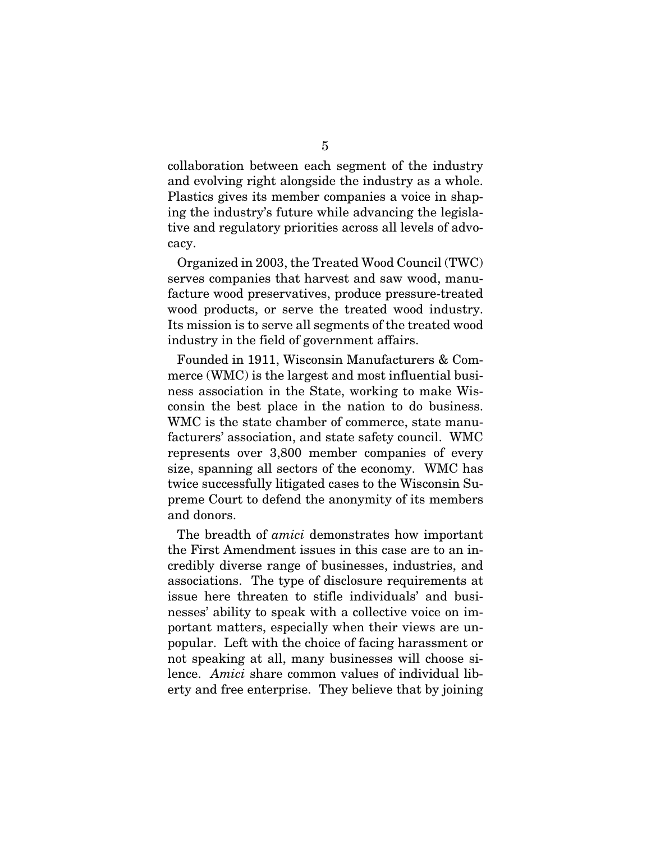collaboration between each segment of the industry and evolving right alongside the industry as a whole. Plastics gives its member companies a voice in shaping the industry's future while advancing the legislative and regulatory priorities across all levels of advocacy.

Organized in 2003, the Treated Wood Council (TWC) serves companies that harvest and saw wood, manufacture wood preservatives, produce pressure-treated wood products, or serve the treated wood industry. Its mission is to serve all segments of the treated wood industry in the field of government affairs.

Founded in 1911, Wisconsin Manufacturers & Commerce (WMC) is the largest and most influential business association in the State, working to make Wisconsin the best place in the nation to do business. WMC is the state chamber of commerce, state manufacturers' association, and state safety council. WMC represents over 3,800 member companies of every size, spanning all sectors of the economy. WMC has twice successfully litigated cases to the Wisconsin Supreme Court to defend the anonymity of its members and donors.

The breadth of *amici* demonstrates how important the First Amendment issues in this case are to an incredibly diverse range of businesses, industries, and associations. The type of disclosure requirements at issue here threaten to stifle individuals' and businesses' ability to speak with a collective voice on important matters, especially when their views are unpopular. Left with the choice of facing harassment or not speaking at all, many businesses will choose silence. *Amici* share common values of individual liberty and free enterprise. They believe that by joining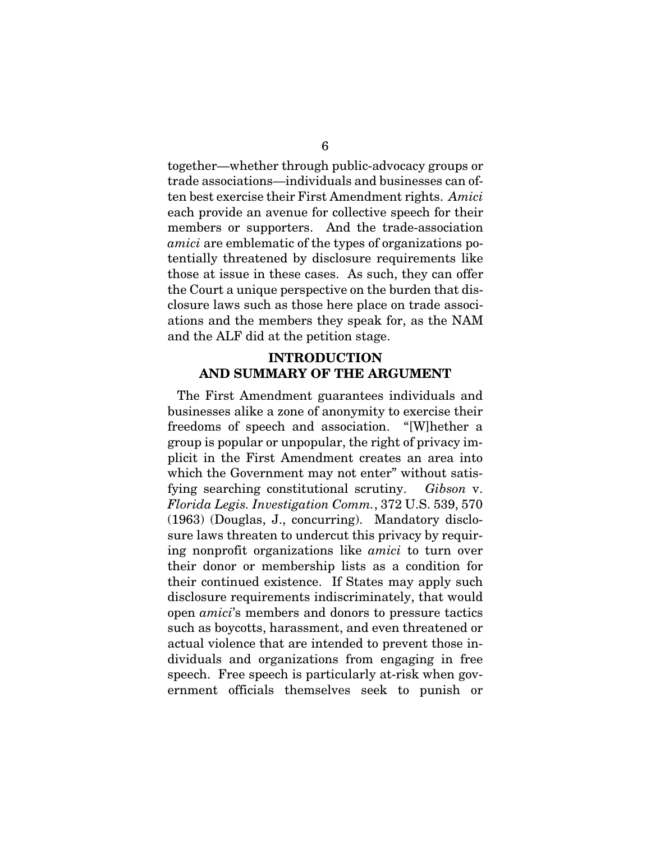together—whether through public-advocacy groups or trade associations—individuals and businesses can often best exercise their First Amendment rights. *Amici*  each provide an avenue for collective speech for their members or supporters. And the trade-association *amici* are emblematic of the types of organizations potentially threatened by disclosure requirements like those at issue in these cases. As such, they can offer the Court a unique perspective on the burden that disclosure laws such as those here place on trade associations and the members they speak for, as the NAM and the ALF did at the petition stage.

#### INTRODUCTION AND SUMMARY OF THE ARGUMENT

The First Amendment guarantees individuals and businesses alike a zone of anonymity to exercise their freedoms of speech and association. "[W]hether a group is popular or unpopular, the right of privacy implicit in the First Amendment creates an area into which the Government may not enter" without satisfying searching constitutional scrutiny. *Gibson* v. *Florida Legis. Investigation Comm.*, 372 U.S. 539, 570 (1963) (Douglas, J., concurring). Mandatory disclosure laws threaten to undercut this privacy by requiring nonprofit organizations like *amici* to turn over their donor or membership lists as a condition for their continued existence. If States may apply such disclosure requirements indiscriminately, that would open *amici*'s members and donors to pressure tactics such as boycotts, harassment, and even threatened or actual violence that are intended to prevent those individuals and organizations from engaging in free speech. Free speech is particularly at-risk when government officials themselves seek to punish or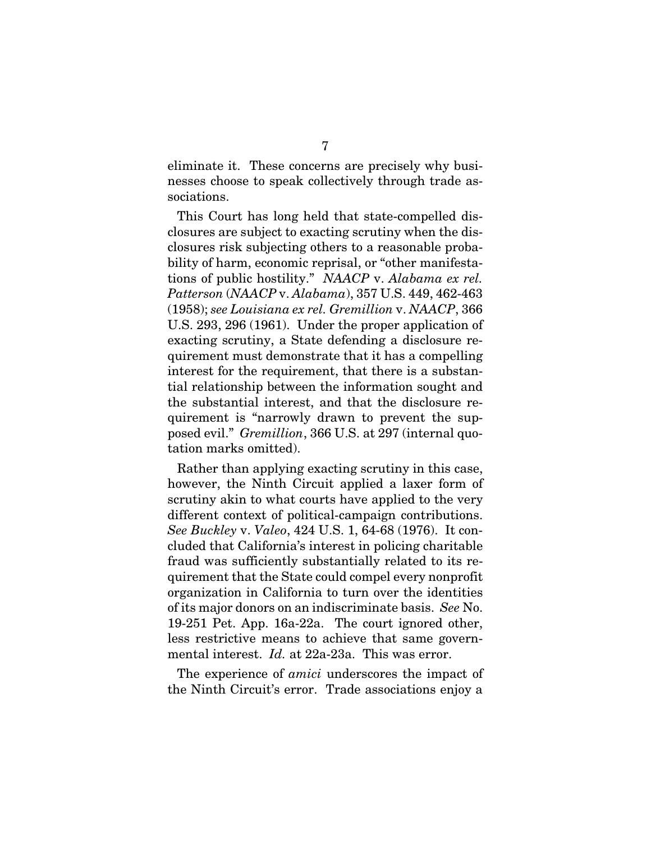eliminate it. These concerns are precisely why businesses choose to speak collectively through trade associations.

This Court has long held that state-compelled disclosures are subject to exacting scrutiny when the disclosures risk subjecting others to a reasonable probability of harm, economic reprisal, or "other manifestations of public hostility." *NAACP* v. *Alabama ex rel. Patterson* (*NAACP* v. *Alabama*), 357 U.S. 449, 462-463 (1958); *see Louisiana ex rel. Gremillion* v. *NAACP*, 366 U.S. 293, 296 (1961). Under the proper application of exacting scrutiny, a State defending a disclosure requirement must demonstrate that it has a compelling interest for the requirement, that there is a substantial relationship between the information sought and the substantial interest, and that the disclosure requirement is "narrowly drawn to prevent the supposed evil." *Gremillion*, 366 U.S. at 297 (internal quotation marks omitted).

Rather than applying exacting scrutiny in this case, however, the Ninth Circuit applied a laxer form of scrutiny akin to what courts have applied to the very different context of political-campaign contributions. *See Buckley* v. *Valeo*, 424 U.S. 1, 64-68 (1976). It concluded that California's interest in policing charitable fraud was sufficiently substantially related to its requirement that the State could compel every nonprofit organization in California to turn over the identities of its major donors on an indiscriminate basis. *See* No. 19-251 Pet. App. 16a-22a. The court ignored other, less restrictive means to achieve that same governmental interest. *Id.* at 22a-23a. This was error.

The experience of *amici* underscores the impact of the Ninth Circuit's error. Trade associations enjoy a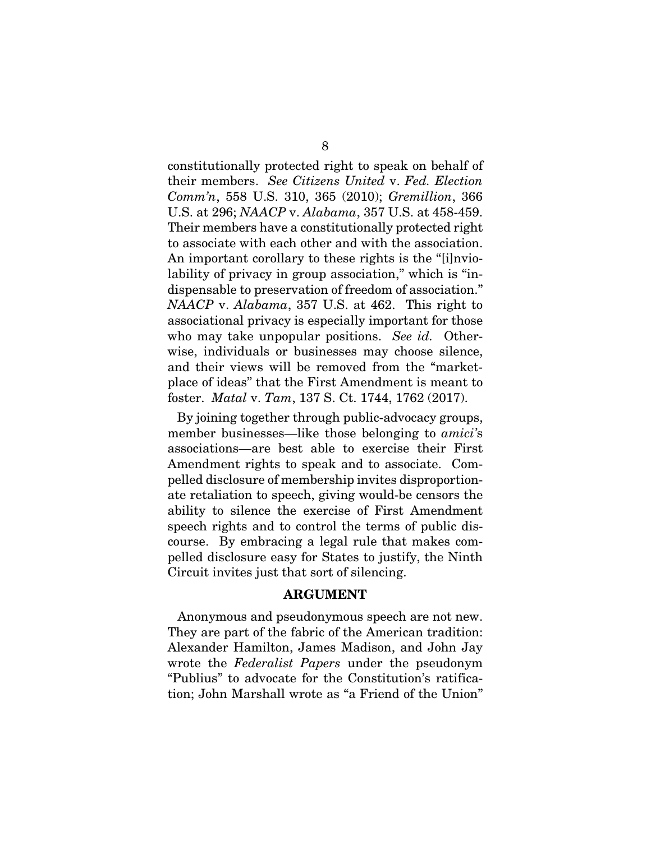constitutionally protected right to speak on behalf of their members. *See Citizens United* v. *Fed. Election Comm'n*, 558 U.S. 310, 365 (2010); *Gremillion*, 366 U.S. at 296; *NAACP* v. *Alabama*, 357 U.S. at 458-459. Their members have a constitutionally protected right to associate with each other and with the association. An important corollary to these rights is the "[i]nviolability of privacy in group association," which is "indispensable to preservation of freedom of association." *NAACP* v. *Alabama*, 357 U.S. at 462. This right to associational privacy is especially important for those who may take unpopular positions. *See id.* Otherwise, individuals or businesses may choose silence, and their views will be removed from the "marketplace of ideas" that the First Amendment is meant to foster. *Matal* v. *Tam*, 137 S. Ct. 1744, 1762 (2017).

By joining together through public-advocacy groups, member businesses—like those belonging to *amici'*s associations—are best able to exercise their First Amendment rights to speak and to associate. Compelled disclosure of membership invites disproportionate retaliation to speech, giving would-be censors the ability to silence the exercise of First Amendment speech rights and to control the terms of public discourse. By embracing a legal rule that makes compelled disclosure easy for States to justify, the Ninth Circuit invites just that sort of silencing.

#### ARGUMENT

Anonymous and pseudonymous speech are not new. They are part of the fabric of the American tradition: Alexander Hamilton, James Madison, and John Jay wrote the *Federalist Papers* under the pseudonym "Publius" to advocate for the Constitution's ratification; John Marshall wrote as "a Friend of the Union"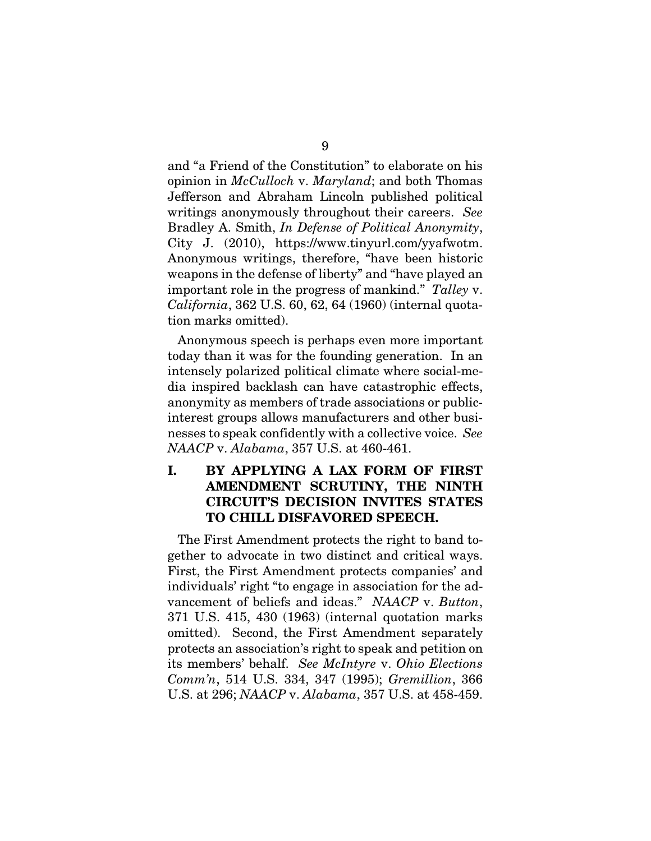and "a Friend of the Constitution" to elaborate on his opinion in *McCulloch* v. *Maryland*; and both Thomas Jefferson and Abraham Lincoln published political writings anonymously throughout their careers. *See* Bradley A. Smith, *In Defense of Political Anonymity*, City J. (2010), https://www.tinyurl.com/yyafwotm. Anonymous writings, therefore, "have been historic weapons in the defense of liberty" and "have played an important role in the progress of mankind." *Talley* v. *California*, 362 U.S. 60, 62, 64 (1960) (internal quotation marks omitted).

Anonymous speech is perhaps even more important today than it was for the founding generation. In an intensely polarized political climate where social-media inspired backlash can have catastrophic effects, anonymity as members of trade associations or publicinterest groups allows manufacturers and other businesses to speak confidently with a collective voice. *See NAACP* v. *Alabama*, 357 U.S. at 460-461.

### I. BY APPLYING A LAX FORM OF FIRST AMENDMENT SCRUTINY, THE NINTH CIRCUIT'S DECISION INVITES STATES TO CHILL DISFAVORED SPEECH.

The First Amendment protects the right to band together to advocate in two distinct and critical ways. First, the First Amendment protects companies' and individuals' right "to engage in association for the advancement of beliefs and ideas." *NAACP* v. *Button*, 371 U.S. 415, 430 (1963) (internal quotation marks omitted). Second, the First Amendment separately protects an association's right to speak and petition on its members' behalf. *See McIntyre* v. *Ohio Elections Comm'n*, 514 U.S. 334, 347 (1995); *Gremillion*, 366 U.S. at 296; *NAACP* v. *Alabama*, 357 U.S. at 458-459.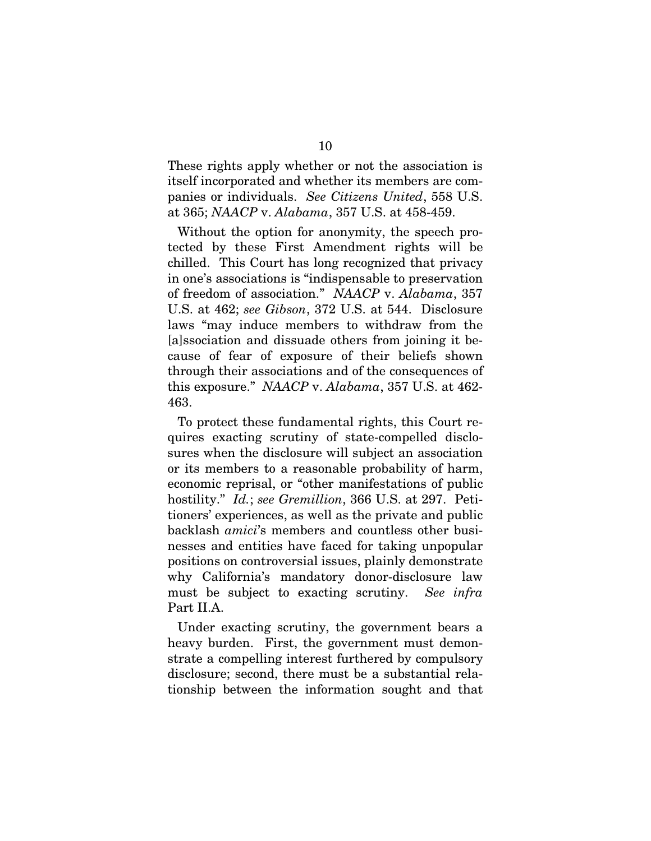These rights apply whether or not the association is itself incorporated and whether its members are companies or individuals. *See Citizens United*, 558 U.S. at 365; *NAACP* v. *Alabama*, 357 U.S. at 458-459.

Without the option for anonymity, the speech protected by these First Amendment rights will be chilled. This Court has long recognized that privacy in one's associations is "indispensable to preservation of freedom of association." *NAACP* v. *Alabama*, 357 U.S. at 462; *see Gibson*, 372 U.S. at 544. Disclosure laws "may induce members to withdraw from the [a]ssociation and dissuade others from joining it because of fear of exposure of their beliefs shown through their associations and of the consequences of this exposure." *NAACP* v. *Alabama*, 357 U.S. at 462- 463.

To protect these fundamental rights, this Court requires exacting scrutiny of state-compelled disclosures when the disclosure will subject an association or its members to a reasonable probability of harm, economic reprisal, or "other manifestations of public hostility." *Id.*; *see Gremillion*, 366 U.S. at 297. Petitioners' experiences, as well as the private and public backlash *amici*'s members and countless other businesses and entities have faced for taking unpopular positions on controversial issues, plainly demonstrate why California's mandatory donor-disclosure law must be subject to exacting scrutiny. *See infra*  Part II.A.

Under exacting scrutiny, the government bears a heavy burden. First, the government must demonstrate a compelling interest furthered by compulsory disclosure; second, there must be a substantial relationship between the information sought and that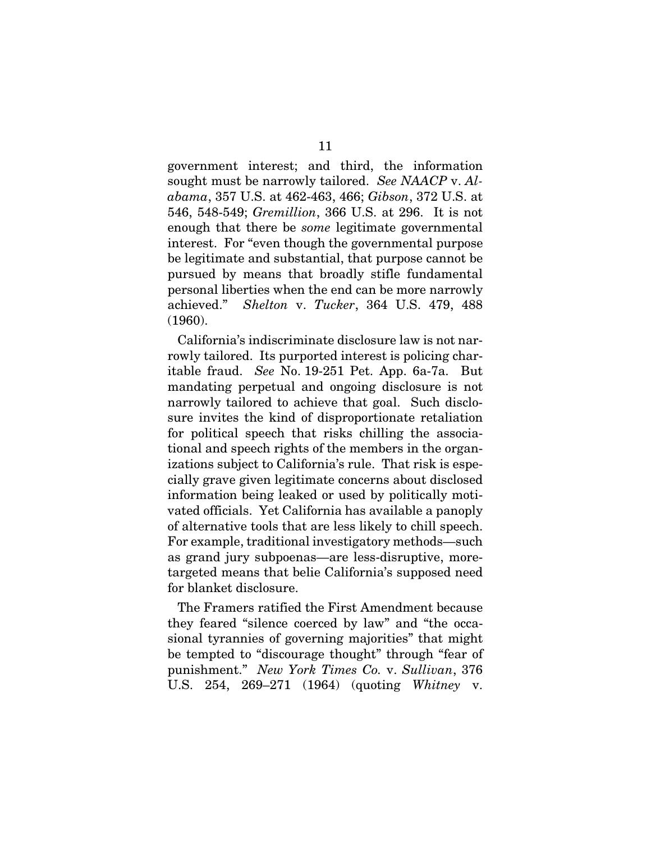government interest; and third, the information sought must be narrowly tailored. *See NAACP* v. *Alabama*, 357 U.S. at 462-463, 466; *Gibson*, 372 U.S. at 546, 548-549; *Gremillion*, 366 U.S. at 296. It is not enough that there be *some* legitimate governmental interest. For "even though the governmental purpose be legitimate and substantial, that purpose cannot be pursued by means that broadly stifle fundamental personal liberties when the end can be more narrowly achieved." *Shelton* v. *Tucker*, 364 U.S. 479, 488 (1960).

California's indiscriminate disclosure law is not narrowly tailored. Its purported interest is policing charitable fraud. *See* No. 19-251 Pet. App. 6a-7a. But mandating perpetual and ongoing disclosure is not narrowly tailored to achieve that goal. Such disclosure invites the kind of disproportionate retaliation for political speech that risks chilling the associational and speech rights of the members in the organizations subject to California's rule. That risk is especially grave given legitimate concerns about disclosed information being leaked or used by politically motivated officials. Yet California has available a panoply of alternative tools that are less likely to chill speech. For example, traditional investigatory methods—such as grand jury subpoenas—are less-disruptive, moretargeted means that belie California's supposed need for blanket disclosure.

The Framers ratified the First Amendment because they feared "silence coerced by law" and "the occasional tyrannies of governing majorities" that might be tempted to "discourage thought" through "fear of punishment." *New York Times Co.* v. *Sullivan*, 376 U.S. 254, 269–271 (1964) (quoting *Whitney* v.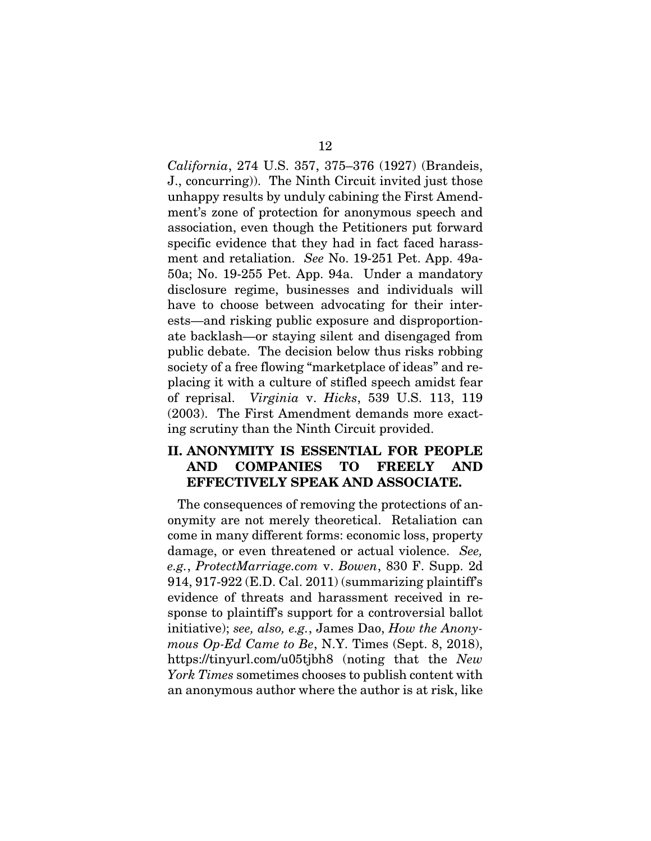*California*, 274 U.S. 357, 375–376 (1927) (Brandeis, J., concurring)). The Ninth Circuit invited just those unhappy results by unduly cabining the First Amendment's zone of protection for anonymous speech and association, even though the Petitioners put forward specific evidence that they had in fact faced harassment and retaliation. *See* No. 19-251 Pet. App. 49a-50a; No. 19-255 Pet. App. 94a. Under a mandatory disclosure regime, businesses and individuals will have to choose between advocating for their interests—and risking public exposure and disproportionate backlash—or staying silent and disengaged from public debate. The decision below thus risks robbing society of a free flowing "marketplace of ideas" and replacing it with a culture of stifled speech amidst fear of reprisal. *Virginia* v. *Hicks*, 539 U.S. 113, 119 (2003). The First Amendment demands more exacting scrutiny than the Ninth Circuit provided.

#### II. ANONYMITY IS ESSENTIAL FOR PEOPLE AND COMPANIES TO FREELY AND EFFECTIVELY SPEAK AND ASSOCIATE.

The consequences of removing the protections of anonymity are not merely theoretical. Retaliation can come in many different forms: economic loss, property damage, or even threatened or actual violence. *See, e.g.*, *ProtectMarriage.com* v. *Bowen*, 830 F. Supp. 2d 914, 917-922 (E.D. Cal. 2011) (summarizing plaintiff's evidence of threats and harassment received in response to plaintiff's support for a controversial ballot initiative); *see, also, e.g.*, James Dao, *How the Anonymous Op-Ed Came to Be*, N.Y. Times (Sept. 8, 2018), https://tinyurl.com/u05tjbh8 (noting that the *New York Times* sometimes chooses to publish content with an anonymous author where the author is at risk, like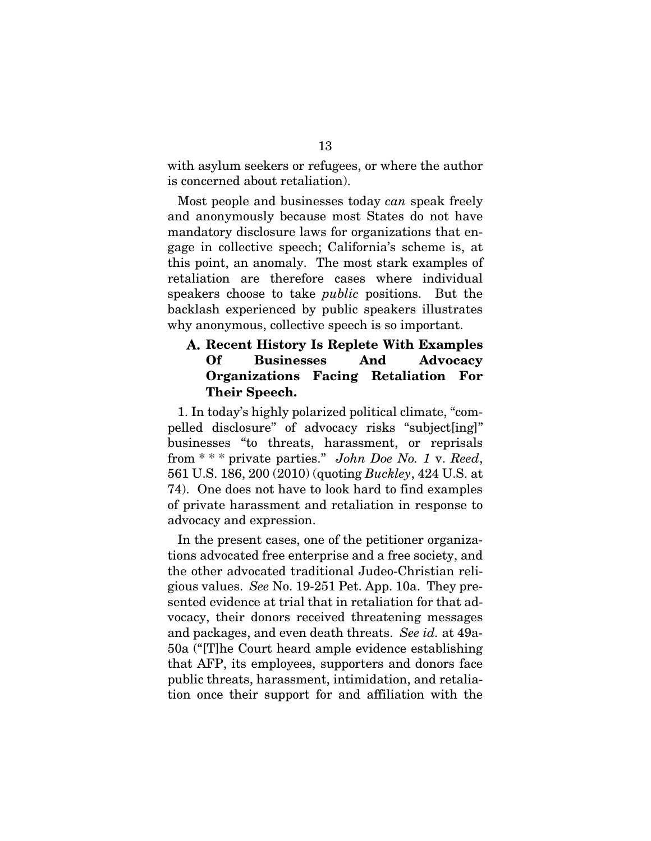with asylum seekers or refugees, or where the author is concerned about retaliation).

Most people and businesses today *can* speak freely and anonymously because most States do not have mandatory disclosure laws for organizations that engage in collective speech; California's scheme is, at this point, an anomaly. The most stark examples of retaliation are therefore cases where individual speakers choose to take *public* positions. But the backlash experienced by public speakers illustrates why anonymous, collective speech is so important.

#### Recent History Is Replete With Examples Of Businesses And Advocacy Organizations Facing Retaliation For Their Speech.

1. In today's highly polarized political climate, "compelled disclosure" of advocacy risks "subject[ing]" businesses "to threats, harassment, or reprisals from \* \* \* private parties." *John Doe No. 1* v. *Reed*, 561 U.S. 186, 200 (2010) (quoting *Buckley*, 424 U.S. at 74). One does not have to look hard to find examples of private harassment and retaliation in response to advocacy and expression.

In the present cases, one of the petitioner organizations advocated free enterprise and a free society, and the other advocated traditional Judeo-Christian religious values. *See* No. 19-251 Pet. App. 10a. They presented evidence at trial that in retaliation for that advocacy, their donors received threatening messages and packages, and even death threats. *See id.* at 49a-50a ("[T]he Court heard ample evidence establishing that AFP, its employees, supporters and donors face public threats, harassment, intimidation, and retaliation once their support for and affiliation with the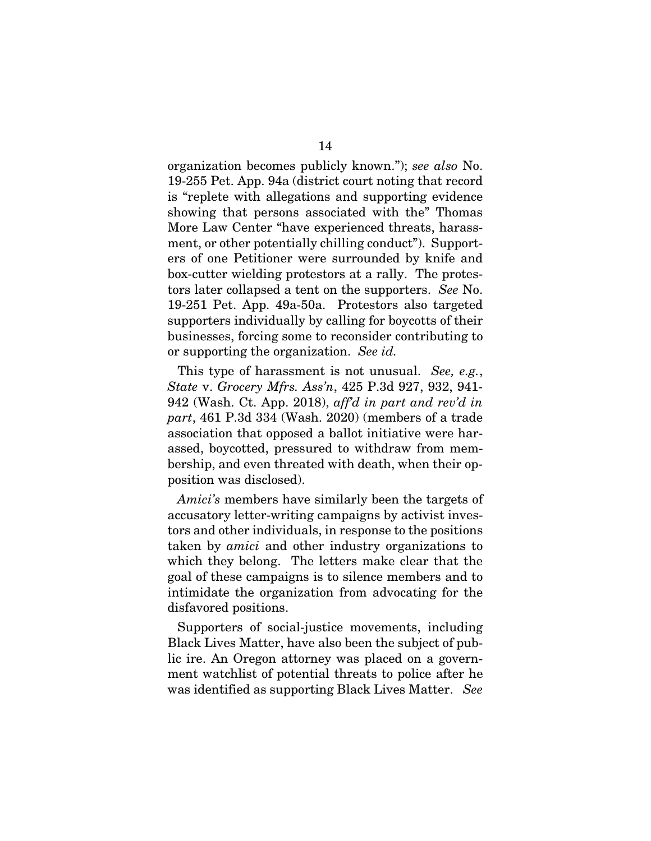organization becomes publicly known."); *see also* No. 19-255 Pet. App. 94a (district court noting that record is "replete with allegations and supporting evidence showing that persons associated with the" Thomas More Law Center "have experienced threats, harassment, or other potentially chilling conduct"). Supporters of one Petitioner were surrounded by knife and box-cutter wielding protestors at a rally. The protestors later collapsed a tent on the supporters. *See* No. 19-251 Pet. App. 49a-50a. Protestors also targeted supporters individually by calling for boycotts of their businesses, forcing some to reconsider contributing to or supporting the organization. *See id.* 

This type of harassment is not unusual. *See, e.g.*, *State* v. *Grocery Mfrs. Ass'n*, 425 P.3d 927, 932, 941- 942 (Wash. Ct. App. 2018), *aff'd in part and rev'd in part*, 461 P.3d 334 (Wash. 2020) (members of a trade association that opposed a ballot initiative were harassed, boycotted, pressured to withdraw from membership, and even threated with death, when their opposition was disclosed).

*Amici's* members have similarly been the targets of accusatory letter-writing campaigns by activist investors and other individuals, in response to the positions taken by *amici* and other industry organizations to which they belong. The letters make clear that the goal of these campaigns is to silence members and to intimidate the organization from advocating for the disfavored positions.

Supporters of social-justice movements, including Black Lives Matter, have also been the subject of public ire. An Oregon attorney was placed on a government watchlist of potential threats to police after he was identified as supporting Black Lives Matter. *See*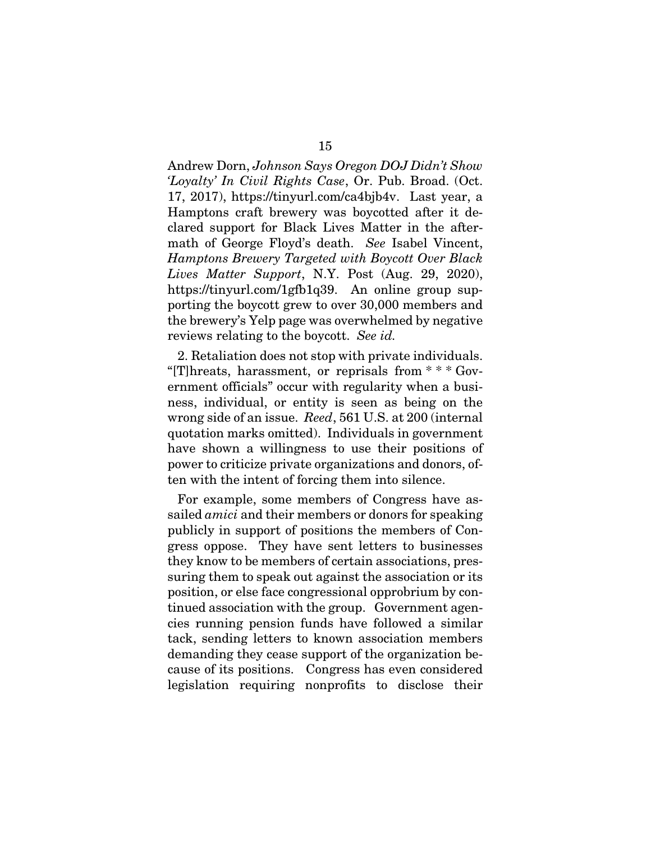Andrew Dorn, *Johnson Says Oregon DOJ Didn't Show 'Loyalty' In Civil Rights Case*, Or. Pub. Broad. (Oct. 17, 2017), https://tinyurl.com/ca4bjb4v. Last year, a Hamptons craft brewery was boycotted after it declared support for Black Lives Matter in the aftermath of George Floyd's death. *See* Isabel Vincent, *Hamptons Brewery Targeted with Boycott Over Black Lives Matter Support*, N.Y. Post (Aug. 29, 2020), https://tinyurl.com/1gfb1q39. An online group supporting the boycott grew to over 30,000 members and the brewery's Yelp page was overwhelmed by negative reviews relating to the boycott. *See id.* 

2. Retaliation does not stop with private individuals. "[T]hreats, harassment, or reprisals from \* \* \* Government officials" occur with regularity when a business, individual, or entity is seen as being on the wrong side of an issue. *Reed*, 561 U.S. at 200 (internal quotation marks omitted). Individuals in government have shown a willingness to use their positions of power to criticize private organizations and donors, often with the intent of forcing them into silence.

For example, some members of Congress have assailed *amici* and their members or donors for speaking publicly in support of positions the members of Congress oppose. They have sent letters to businesses they know to be members of certain associations, pressuring them to speak out against the association or its position, or else face congressional opprobrium by continued association with the group. Government agencies running pension funds have followed a similar tack, sending letters to known association members demanding they cease support of the organization because of its positions. Congress has even considered legislation requiring nonprofits to disclose their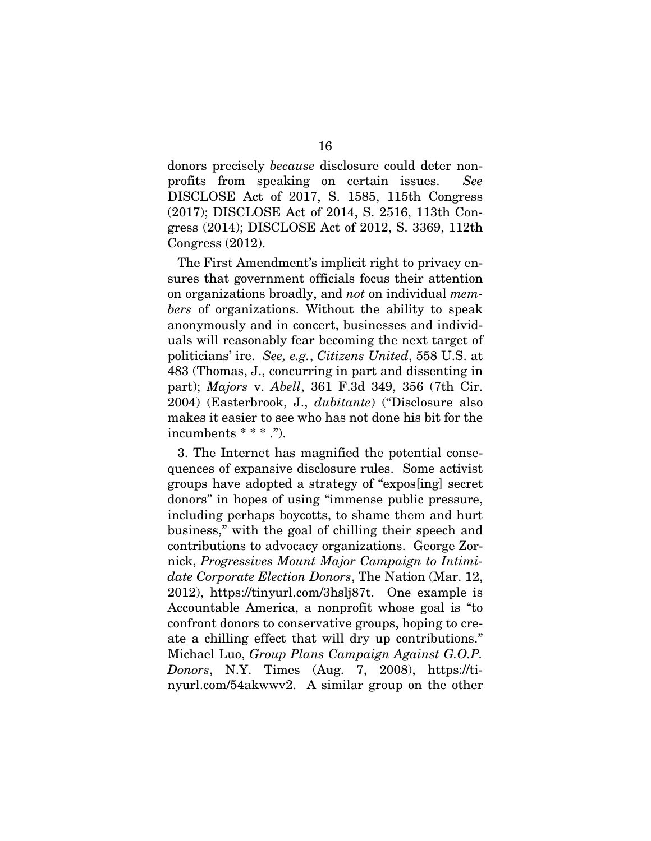donors precisely *because* disclosure could deter nonprofits from speaking on certain issues. *See*  DISCLOSE Act of 2017, S. 1585, 115th Congress (2017); DISCLOSE Act of 2014, S. 2516, 113th Congress (2014); DISCLOSE Act of 2012, S. 3369, 112th Congress (2012).

The First Amendment's implicit right to privacy ensures that government officials focus their attention on organizations broadly, and *not* on individual *members* of organizations. Without the ability to speak anonymously and in concert, businesses and individuals will reasonably fear becoming the next target of politicians' ire. *See, e.g.*, *Citizens United*, 558 U.S. at 483 (Thomas, J., concurring in part and dissenting in part); *Majors* v. *Abell*, 361 F.3d 349, 356 (7th Cir. 2004) (Easterbrook, J., *dubitante*) ("Disclosure also makes it easier to see who has not done his bit for the incumbents \* \* \* .").

3. The Internet has magnified the potential consequences of expansive disclosure rules. Some activist groups have adopted a strategy of "expos[ing] secret donors" in hopes of using "immense public pressure, including perhaps boycotts, to shame them and hurt business," with the goal of chilling their speech and contributions to advocacy organizations. George Zornick, *Progressives Mount Major Campaign to Intimidate Corporate Election Donors*, The Nation (Mar. 12, 2012), https://tinyurl.com/3hslj87t. One example is Accountable America, a nonprofit whose goal is "to confront donors to conservative groups, hoping to create a chilling effect that will dry up contributions." Michael Luo, *Group Plans Campaign Against G.O.P. Donors*, N.Y. Times (Aug. 7, 2008), https://tinyurl.com/54akwwv2. A similar group on the other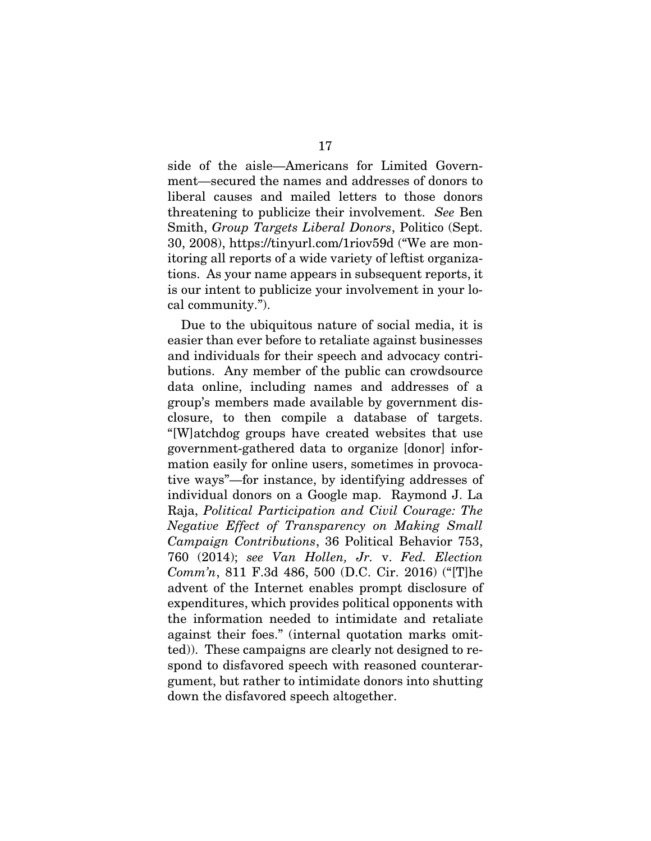side of the aisle—Americans for Limited Government—secured the names and addresses of donors to liberal causes and mailed letters to those donors threatening to publicize their involvement. *See* Ben Smith, *Group Targets Liberal Donors*, Politico (Sept. 30, 2008), https://tinyurl.com/1riov59d ("We are monitoring all reports of a wide variety of leftist organizations. As your name appears in subsequent reports, it is our intent to publicize your involvement in your local community.").

 Due to the ubiquitous nature of social media, it is easier than ever before to retaliate against businesses and individuals for their speech and advocacy contributions. Any member of the public can crowdsource data online, including names and addresses of a group's members made available by government disclosure, to then compile a database of targets. "[W]atchdog groups have created websites that use government-gathered data to organize [donor] information easily for online users, sometimes in provocative ways"—for instance, by identifying addresses of individual donors on a Google map. Raymond J. La Raja, *Political Participation and Civil Courage: The Negative Effect of Transparency on Making Small Campaign Contributions*, 36 Political Behavior 753, 760 (2014); *see Van Hollen, Jr.* v. *Fed. Election Comm'n*, 811 F.3d 486, 500 (D.C. Cir. 2016) ("[T]he advent of the Internet enables prompt disclosure of expenditures, which provides political opponents with the information needed to intimidate and retaliate against their foes." (internal quotation marks omitted)). These campaigns are clearly not designed to respond to disfavored speech with reasoned counterargument, but rather to intimidate donors into shutting down the disfavored speech altogether.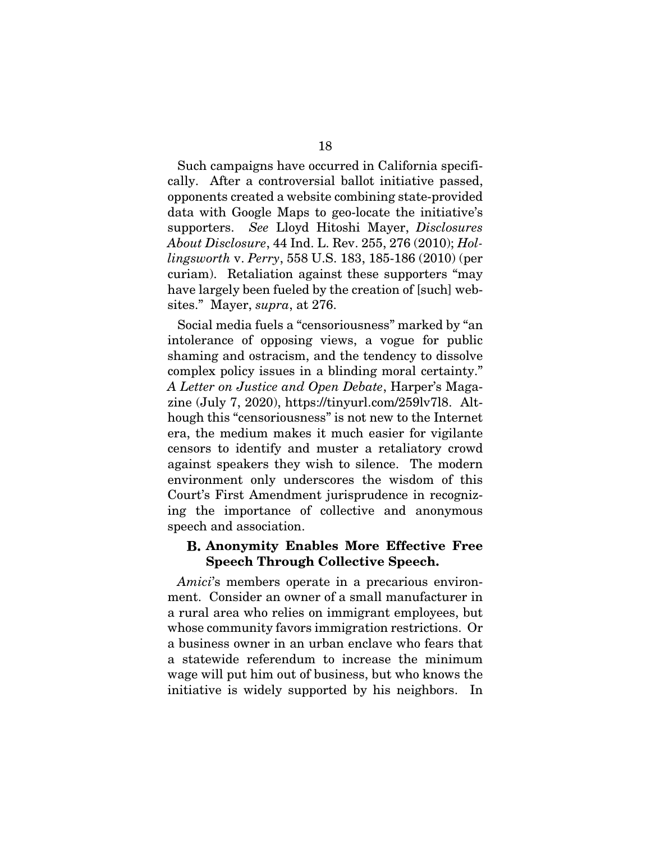Such campaigns have occurred in California specifically. After a controversial ballot initiative passed, opponents created a website combining state-provided data with Google Maps to geo-locate the initiative's supporters. *See* Lloyd Hitoshi Mayer, *Disclosures About Disclosure*, 44 Ind. L. Rev. 255, 276 (2010); *Hollingsworth* v. *Perry*, 558 U.S. 183, 185-186 (2010) (per curiam). Retaliation against these supporters "may have largely been fueled by the creation of [such] websites." Mayer, *supra*, at 276.

Social media fuels a "censoriousness" marked by "an intolerance of opposing views, a vogue for public shaming and ostracism, and the tendency to dissolve complex policy issues in a blinding moral certainty." *A Letter on Justice and Open Debate*, Harper's Magazine (July 7, 2020), https://tinyurl.com/259lv7l8. Although this "censoriousness" is not new to the Internet era, the medium makes it much easier for vigilante censors to identify and muster a retaliatory crowd against speakers they wish to silence. The modern environment only underscores the wisdom of this Court's First Amendment jurisprudence in recognizing the importance of collective and anonymous speech and association.

#### Anonymity Enables More Effective Free Speech Through Collective Speech.

*Amici*'s members operate in a precarious environment. Consider an owner of a small manufacturer in a rural area who relies on immigrant employees, but whose community favors immigration restrictions. Or a business owner in an urban enclave who fears that a statewide referendum to increase the minimum wage will put him out of business, but who knows the initiative is widely supported by his neighbors. In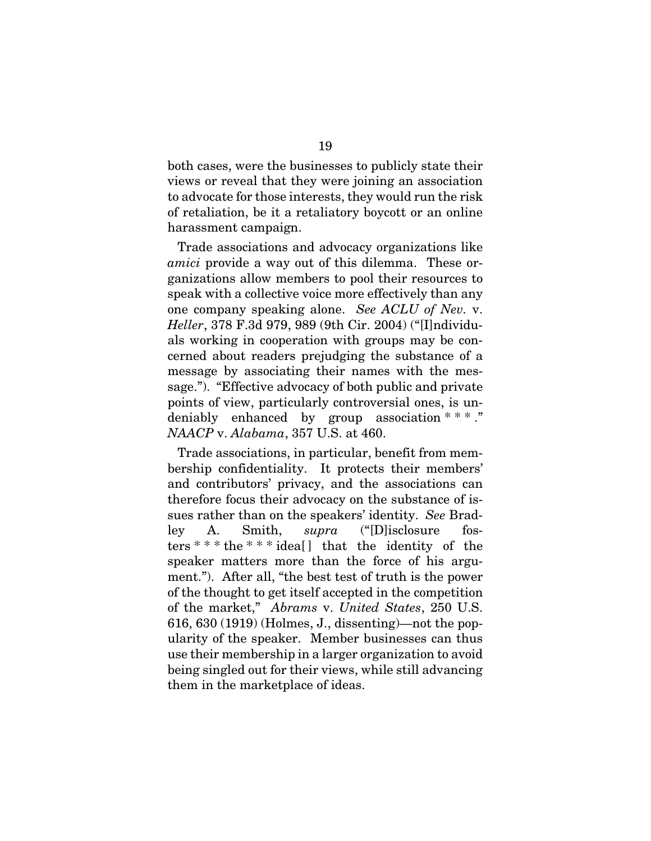both cases, were the businesses to publicly state their views or reveal that they were joining an association to advocate for those interests, they would run the risk of retaliation, be it a retaliatory boycott or an online harassment campaign.

Trade associations and advocacy organizations like *amici* provide a way out of this dilemma. These organizations allow members to pool their resources to speak with a collective voice more effectively than any one company speaking alone. *See ACLU of Nev.* v. *Heller*, 378 F.3d 979, 989 (9th Cir. 2004) ("[I]ndividuals working in cooperation with groups may be concerned about readers prejudging the substance of a message by associating their names with the message."). "Effective advocacy of both public and private points of view, particularly controversial ones, is undeniably enhanced by group association \* \* \*... *NAACP* v. *Alabama*, 357 U.S. at 460.

Trade associations, in particular, benefit from membership confidentiality. It protects their members' and contributors' privacy, and the associations can therefore focus their advocacy on the substance of issues rather than on the speakers' identity. *See* Bradley A. Smith, *supra* ("[D]isclosure fosters \* \* \* the \* \* \* idea[ ] that the identity of the speaker matters more than the force of his argument."). After all, "the best test of truth is the power of the thought to get itself accepted in the competition of the market," *Abrams* v. *United States*, 250 U.S. 616, 630 (1919) (Holmes, J., dissenting)—not the popularity of the speaker. Member businesses can thus use their membership in a larger organization to avoid being singled out for their views, while still advancing them in the marketplace of ideas.